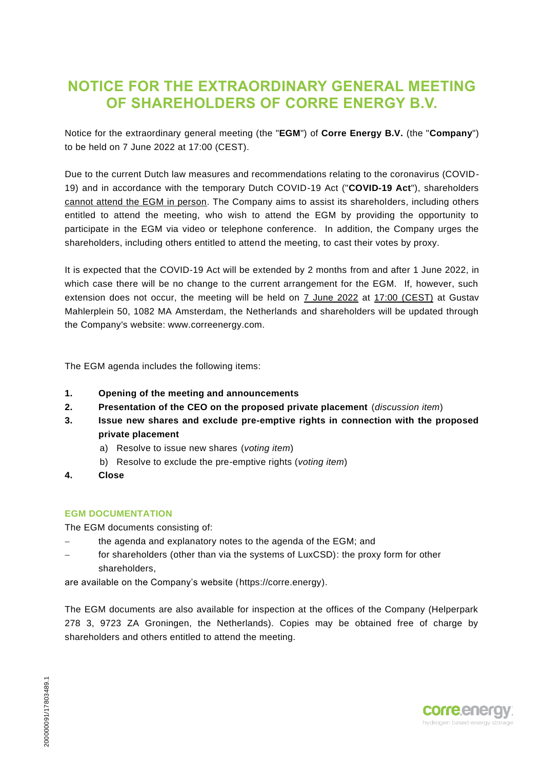## **NOTICE FOR THE EXTRAORDINARY GENERAL MEETING OF SHAREHOLDERS OF CORRE ENERGY B.V.**

Notice for the extraordinary general meeting (the "**EGM**") of **Corre Energy B.V.** (the "**Company**") to be held on 7 June 2022 at 17:00 (CEST).

Due to the current Dutch law measures and recommendations relating to the coronavirus (COVID-19) and in accordance with the temporary Dutch COVID-19 Act ("**COVID-19 Act**"), shareholders cannot attend the EGM in person. The Company aims to assist its shareholders, including others entitled to attend the meeting, who wish to attend the EGM by providing the opportunity to participate in the EGM via video or telephone conference. In addition, the Company urges the shareholders, including others entitled to attend the meeting, to cast their votes by proxy.

It is expected that the COVID-19 Act will be extended by 2 months from and after 1 June 2022, in which case there will be no change to the current arrangement for the EGM. If, however, such extension does not occur, the meeting will be held on 7 June 2022 at 17:00 (CEST) at Gustav Mahlerplein 50, 1082 MA Amsterdam, the Netherlands and shareholders will be updated through the Company's website: www.correenergy.com.

The EGM agenda includes the following items:

- **1. Opening of the meeting and announcements**
- **2. Presentation of the CEO on the proposed private placement** (*discussion item*)
- **3. Issue new shares and exclude pre-emptive rights in connection with the proposed private placement**
	- a) Resolve to issue new shares (*voting item*)
	- b) Resolve to exclude the pre-emptive rights (*voting item*)
- **4. Close**

#### **EGM DOCUMENTATION**

The EGM documents consisting of:

- the agenda and explanatory notes to the agenda of the EGM; and
- for shareholders (other than via the systems of LuxCSD): the proxy form for other shareholders,

are available on the Company's website (https://corre.energy).

The EGM documents are also available for inspection at the offices of the Company (Helperpark 278 3, 9723 ZA Groningen, the Netherlands). Copies may be obtained free of charge by shareholders and others entitled to attend the meeting.

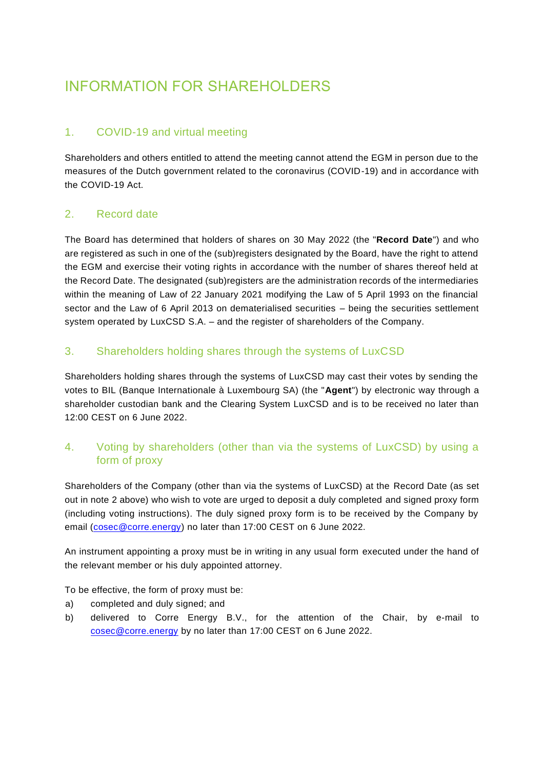# INFORMATION FOR SHAREHOLDERS

## 1. COVID-19 and virtual meeting

Shareholders and others entitled to attend the meeting cannot attend the EGM in person due to the measures of the Dutch government related to the coronavirus (COVID-19) and in accordance with the COVID-19 Act.

## 2. Record date

The Board has determined that holders of shares on 30 May 2022 (the "**Record Date**") and who are registered as such in one of the (sub)registers designated by the Board, have the right to attend the EGM and exercise their voting rights in accordance with the number of shares thereof held at the Record Date. The designated (sub)registers are the administration records of the intermediaries within the meaning of Law of 22 January 2021 modifying the Law of 5 April 1993 on the financial sector and the Law of 6 April 2013 on dematerialised securities – being the securities settlement system operated by LuxCSD S.A. – and the register of shareholders of the Company.

## 3. Shareholders holding shares through the systems of LuxCSD

Shareholders holding shares through the systems of LuxCSD may cast their votes by sending the votes to BIL (Banque Internationale à Luxembourg SA) (the "**Agent**") by electronic way through a shareholder custodian bank and the Clearing System LuxCSD and is to be received no later than 12:00 CEST on 6 June 2022.

## 4. Voting by shareholders (other than via the systems of LuxCSD) by using a form of proxy

Shareholders of the Company (other than via the systems of LuxCSD) at the Record Date (as set out in note 2 above) who wish to vote are urged to deposit a duly completed and signed proxy form (including voting instructions). The duly signed proxy form is to be received by the Company by email (cosec@corre.energy) no later than 17:00 CEST on 6 June 2022.

An instrument appointing a proxy must be in writing in any usual form executed under the hand of the relevant member or his duly appointed attorney.

To be effective, the form of proxy must be:

- a) completed and duly signed; and
- b) delivered to Corre Energy B.V., for the attention of the Chair, by e-mail to cosec@corre.energy by no later than 17:00 CEST on 6 June 2022.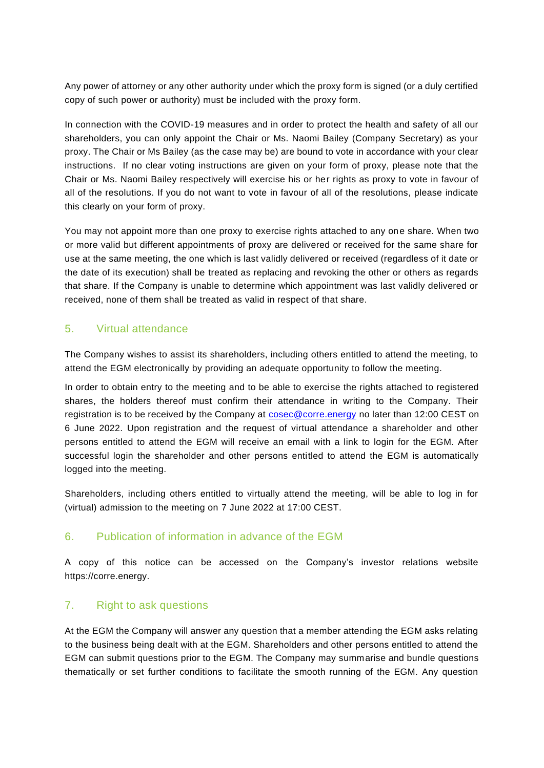Any power of attorney or any other authority under which the proxy form is signed (or a duly certified copy of such power or authority) must be included with the proxy form.

In connection with the COVID-19 measures and in order to protect the health and safety of all our shareholders, you can only appoint the Chair or Ms. Naomi Bailey (Company Secretary) as your proxy. The Chair or Ms Bailey (as the case may be) are bound to vote in accordance with your clear instructions. If no clear voting instructions are given on your form of proxy, please note that the Chair or Ms. Naomi Bailey respectively will exercise his or her rights as proxy to vote in favour of all of the resolutions. If you do not want to vote in favour of all of the resolutions, please indicate this clearly on your form of proxy.

You may not appoint more than one proxy to exercise rights attached to any one share. When two or more valid but different appointments of proxy are delivered or received for the same share for use at the same meeting, the one which is last validly delivered or received (regardless of it date or the date of its execution) shall be treated as replacing and revoking the other or others as regards that share. If the Company is unable to determine which appointment was last validly delivered or received, none of them shall be treated as valid in respect of that share.

## 5. Virtual attendance

The Company wishes to assist its shareholders, including others entitled to attend the meeting, to attend the EGM electronically by providing an adequate opportunity to follow the meeting.

In order to obtain entry to the meeting and to be able to exercise the rights attached to registered shares, the holders thereof must confirm their attendance in writing to the Company. Their registration is to be received by the Company at [cosec@corre.energy](mailto:cosec@corre.energy) no later than 12:00 CEST on 6 June 2022. Upon registration and the request of virtual attendance a shareholder and other persons entitled to attend the EGM will receive an email with a link to login for the EGM. After successful login the shareholder and other persons entitled to attend the EGM is automatically logged into the meeting.

Shareholders, including others entitled to virtually attend the meeting, will be able to log in for (virtual) admission to the meeting on 7 June 2022 at 17:00 CEST.

#### 6. Publication of information in advance of the EGM

A copy of this notice can be accessed on the Company's investor relations website https://corre.energy.

#### 7. Right to ask questions

At the EGM the Company will answer any question that a member attending the EGM asks relating to the business being dealt with at the EGM. Shareholders and other persons entitled to attend the EGM can submit questions prior to the EGM. The Company may summarise and bundle questions thematically or set further conditions to facilitate the smooth running of the EGM. Any question